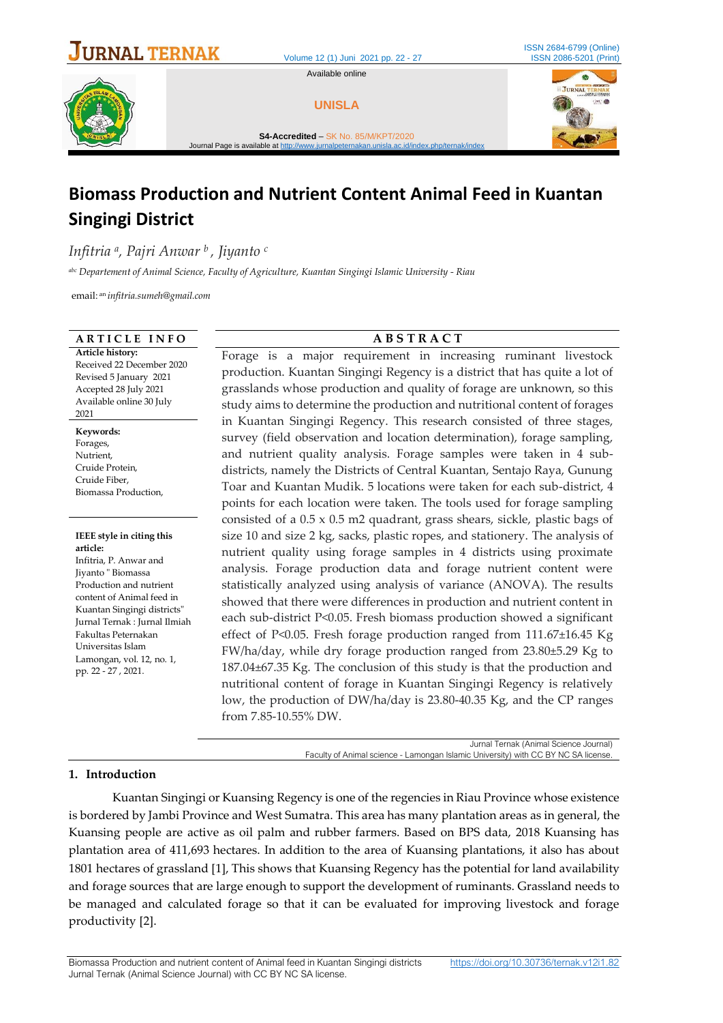

Volume 12 (1) Juni 2021 pp. 22 - 27

Available online



**UNISLA**





**S4-Accredited** – SK No. [85/M/KPT/2020](http://arjuna.ristekdikti.go.id/index.php/news/view/138)  jurnal peternakan.unisla ac.id/index.php/ternak/index.php

# **Biomass Production and Nutrient Content Animal Feed in Kuantan Singingi District**

*Infitria <sup>a</sup> , Pajri Anwar <sup>b</sup> , Jiyanto <sup>c</sup>*

*abc Departement of Animal Science, Faculty of Agriculture, Kuantan Singingi Islamic University - Riau*

email: an *infitria.sumeh@gmail.com*

#### **A R T I C L E I N F O A B S T R A C T**

**Article history:** Received 22 December 2020 Revised 5 January 2021 Accepted 28 July 2021 Available online 30 July 2021

**Keywords:**  Forages, Nutrient, Cruide Protein, Cruide Fiber, Biomassa Production,

**IEEE style in citing this article:** Infitria, P. Anwar and Jiyanto " Biomassa Production and nutrient content of Animal feed in Kuantan Singingi districts" Jurnal Ternak : Jurnal Ilmiah Fakultas Peternakan Universitas Islam Lamongan, vol. 12, no. 1, pp. 22 - 27 , 2021.

Forage is a major requirement in increasing ruminant livestock production. Kuantan Singingi Regency is a district that has quite a lot of grasslands whose production and quality of forage are unknown, so this study aims to determine the production and nutritional content of forages in Kuantan Singingi Regency. This research consisted of three stages, survey (field observation and location determination), forage sampling, and nutrient quality analysis. Forage samples were taken in 4 subdistricts, namely the Districts of Central Kuantan, Sentajo Raya, Gunung Toar and Kuantan Mudik. 5 locations were taken for each sub-district, 4 points for each location were taken. The tools used for forage sampling consisted of a 0.5 x 0.5 m2 quadrant, grass shears, sickle, plastic bags of size 10 and size 2 kg, sacks, plastic ropes, and stationery. The analysis of nutrient quality using forage samples in 4 districts using proximate analysis. Forage production data and forage nutrient content were statistically analyzed using analysis of variance (ANOVA). The results showed that there were differences in production and nutrient content in each sub-district P<0.05. Fresh biomass production showed a significant effect of P<0.05. Fresh forage production ranged from 111.67±16.45 Kg FW/ha/day, while dry forage production ranged from 23.80±5.29 Kg to 187.04±67.35 Kg. The conclusion of this study is that the production and nutritional content of forage in Kuantan Singingi Regency is relatively low, the production of DW/ha/day is 23.80-40.35 Kg, and the CP ranges from 7.85-10.55% DW.

> Jurnal Ternak (Animal Science Journal) Faculty of Animal science - Lamongan Islamic University) with CC BY NC SA license.

#### **1. Introduction**

Kuantan Singingi or Kuansing Regency is one of the regencies in Riau Province whose existence is bordered by Jambi Province and West Sumatra. This area has many plantation areas as in general, the Kuansing people are active as oil palm and rubber farmers. Based on BPS data, 2018 Kuansing has plantation area of 411,693 hectares. In addition to the area of Kuansing plantations, it also has about 1801 hectares of grassland [1], This shows that Kuansing Regency has the potential for land availability and forage sources that are large enough to support the development of ruminants. Grassland needs to be managed and calculated forage so that it can be evaluated for improving livestock and forage productivity [2].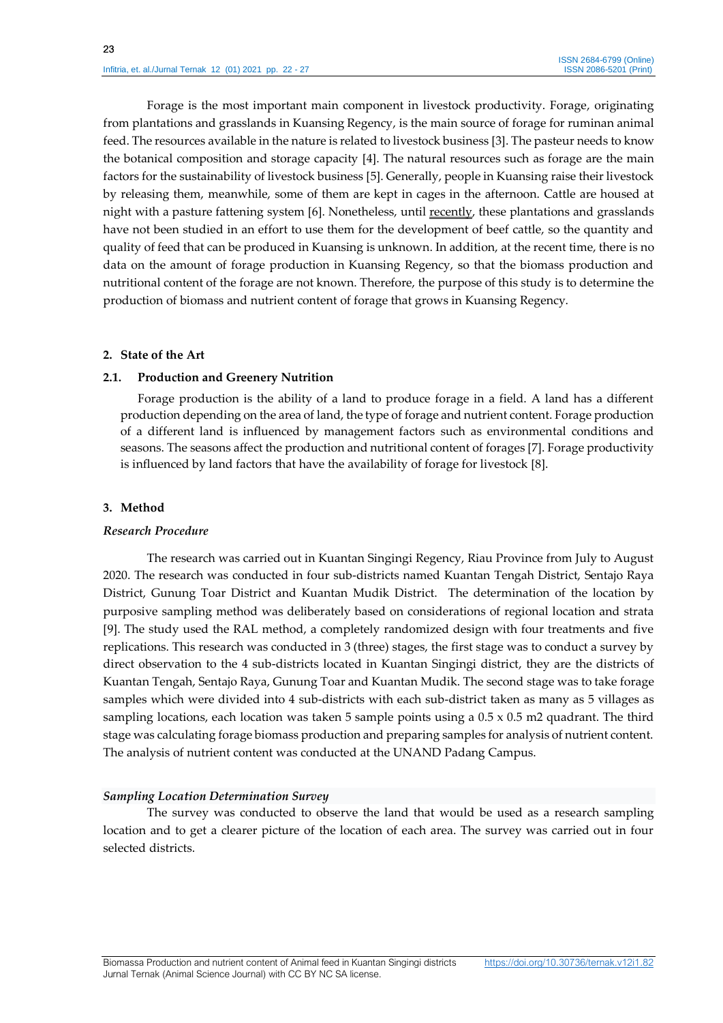Forage is the most important main component in livestock productivity. Forage, originating from plantations and grasslands in Kuansing Regency, is the main source of forage for ruminan animal feed. The resources available in the nature is related to livestock business [3]. The pasteur needs to know the botanical composition and storage capacity [4]. The natural resources such as forage are the main factors for the sustainability of livestock business [5]. Generally, people in Kuansing raise their livestock by releasing them, meanwhile, some of them are kept in cages in the afternoon. Cattle are housed at night with a pasture fattening system [6]. Nonetheless, until recently, these plantations and grasslands have not been studied in an effort to use them for the development of beef cattle, so the quantity and quality of feed that can be produced in Kuansing is unknown. In addition, at the recent time, there is no data on the amount of forage production in Kuansing Regency, so that the biomass production and nutritional content of the forage are not known. Therefore, the purpose of this study is to determine the production of biomass and nutrient content of forage that grows in Kuansing Regency.

#### **2. State of the Art**

## **2.1. Production and Greenery Nutrition**

Forage production is the ability of a land to produce forage in a field. A land has a different production depending on the area of land, the type of forage and nutrient content. Forage production of a different land is influenced by management factors such as environmental conditions and seasons. The seasons affect the production and nutritional content of forages [7]. Forage productivity is influenced by land factors that have the availability of forage for livestock [8].

# **3. Method**

#### *Research Procedure*

The research was carried out in Kuantan Singingi Regency, Riau Province from July to August 2020. The research was conducted in four sub-districts named Kuantan Tengah District, Sentajo Raya District, Gunung Toar District and Kuantan Mudik District. The determination of the location by purposive sampling method was deliberately based on considerations of regional location and strata [9]. The study used the RAL method, a completely randomized design with four treatments and five replications. This research was conducted in 3 (three) stages, the first stage was to conduct a survey by direct observation to the 4 sub-districts located in Kuantan Singingi district, they are the districts of Kuantan Tengah, Sentajo Raya, Gunung Toar and Kuantan Mudik. The second stage was to take forage samples which were divided into 4 sub-districts with each sub-district taken as many as 5 villages as sampling locations, each location was taken 5 sample points using a 0.5 x 0.5 m2 quadrant. The third stage was calculating forage biomass production and preparing samples for analysis of nutrient content. The analysis of nutrient content was conducted at the UNAND Padang Campus.

# *Sampling Location Determination Survey*

The survey was conducted to observe the land that would be used as a research sampling location and to get a clearer picture of the location of each area. The survey was carried out in four selected districts.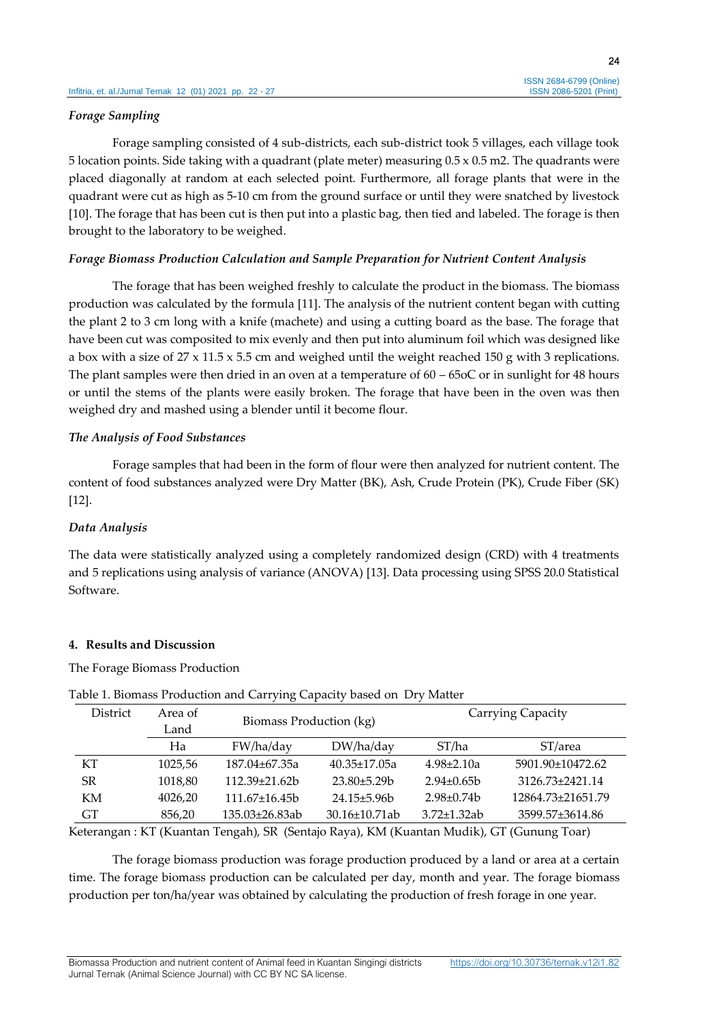#### *Forage Sampling*

Forage sampling consisted of 4 sub-districts, each sub-district took 5 villages, each village took 5 location points. Side taking with a quadrant (plate meter) measuring 0.5 x 0.5 m2. The quadrants were placed diagonally at random at each selected point. Furthermore, all forage plants that were in the quadrant were cut as high as 5-10 cm from the ground surface or until they were snatched by livestock [10]. The forage that has been cut is then put into a plastic bag, then tied and labeled. The forage is then brought to the laboratory to be weighed.

## *Forage Biomass Production Calculation and Sample Preparation for Nutrient Content Analysis*

The forage that has been weighed freshly to calculate the product in the biomass. The biomass production was calculated by the formula [11]. The analysis of the nutrient content began with cutting the plant 2 to 3 cm long with a knife (machete) and using a cutting board as the base. The forage that have been cut was composited to mix evenly and then put into aluminum foil which was designed like a box with a size of  $27 \times 11.5 \times 5.5$  cm and weighed until the weight reached 150 g with 3 replications. The plant samples were then dried in an oven at a temperature of 60 – 65oC or in sunlight for 48 hours or until the stems of the plants were easily broken. The forage that have been in the oven was then weighed dry and mashed using a blender until it become flour.

## *The Analysis of Food Substances*

Forage samples that had been in the form of flour were then analyzed for nutrient content. The content of food substances analyzed were Dry Matter (BK), Ash, Crude Protein (PK), Crude Fiber (SK) [12].

# *Data Analysis*

The data were statistically analyzed using a completely randomized design (CRD) with 4 treatments and 5 replications using analysis of variance (ANOVA) [13]. Data processing using SPSS 20.0 Statistical Software.

#### **4. Results and Discussion**

The Forage Biomass Production

| District | Area of<br>Land | Biomass Production (kg) |                      | Carrying Capacity  |                   |  |
|----------|-----------------|-------------------------|----------------------|--------------------|-------------------|--|
|          | Ha              | FW/ha/day               | $DW/$ ha/day         | ST/ha              | ST/area           |  |
| КT       | 1025,56         | 187.04±67.35a           | $40.35 \pm 17.05a$   | $4.98 \pm 2.10a$   | 5901.90±10472.62  |  |
| SR       | 1018,80         | $112.39 + 21.62h$       | $23.80\pm5.29b$      | $2.94 + 0.65h$     | 3126.73±2421.14   |  |
| KM       | 4026,20         | $111.67+16.45b$         | $24.15 \pm 5.96$     | $2.98 \pm 0.74$    | 12864.73±21651.79 |  |
| GT       | 856,20          | 135.03±26.83ab          | $30.16 \pm 10.71$ ab | $3.72 \pm 1.32$ ab | 3599.57±3614.86   |  |

# Table 1. Biomass Production and Carrying Capacity based on Dry Matter

Keterangan : KT (Kuantan Tengah), SR (Sentajo Raya), KM (Kuantan Mudik), GT (Gunung Toar)

The forage biomass production was forage production produced by a land or area at a certain time. The forage biomass production can be calculated per day, month and year. The forage biomass production per ton/ha/year was obtained by calculating the production of fresh forage in one year.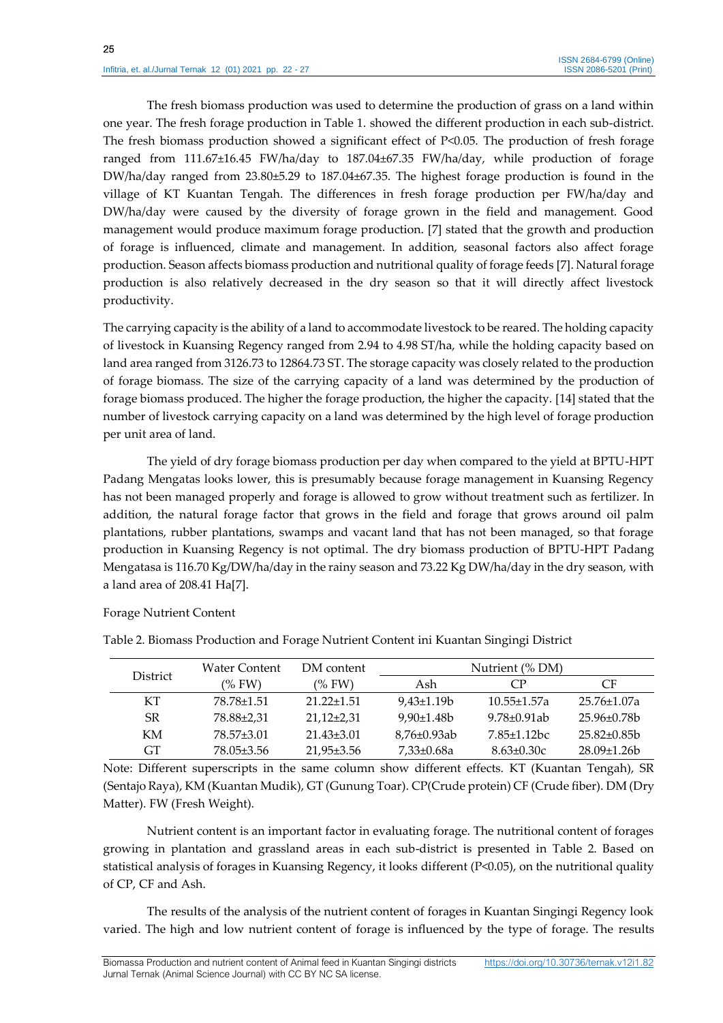The fresh biomass production was used to determine the production of grass on a land within one year. The fresh forage production in Table 1. showed the different production in each sub-district. The fresh biomass production showed a significant effect of P<0.05. The production of fresh forage ranged from 111.67±16.45 FW/ha/day to 187.04±67.35 FW/ha/day, while production of forage DW/ha/day ranged from 23.80±5.29 to 187.04±67.35. The highest forage production is found in the village of KT Kuantan Tengah. The differences in fresh forage production per FW/ha/day and DW/ha/day were caused by the diversity of forage grown in the field and management. Good management would produce maximum forage production. [7] stated that the growth and production of forage is influenced, climate and management. In addition, seasonal factors also affect forage production. Season affects biomass production and nutritional quality of forage feeds [7]. Natural forage production is also relatively decreased in the dry season so that it will directly affect livestock productivity.

The carrying capacity is the ability of a land to accommodate livestock to be reared. The holding capacity of livestock in Kuansing Regency ranged from 2.94 to 4.98 ST/ha, while the holding capacity based on land area ranged from 3126.73 to 12864.73 ST. The storage capacity was closely related to the production of forage biomass. The size of the carrying capacity of a land was determined by the production of forage biomass produced. The higher the forage production, the higher the capacity. [14] stated that the number of livestock carrying capacity on a land was determined by the high level of forage production per unit area of land.

The yield of dry forage biomass production per day when compared to the yield at BPTU-HPT Padang Mengatas looks lower, this is presumably because forage management in Kuansing Regency has not been managed properly and forage is allowed to grow without treatment such as fertilizer. In addition, the natural forage factor that grows in the field and forage that grows around oil palm plantations, rubber plantations, swamps and vacant land that has not been managed, so that forage production in Kuansing Regency is not optimal. The dry biomass production of BPTU-HPT Padang Mengatasa is 116.70 Kg/DW/ha/day in the rainy season and 73.22 Kg DW/ha/day in the dry season, with a land area of 208.41 Ha[7].

Forage Nutrient Content

| <b>District</b> | Water Content | DM content       | Nutrient (% DM)   |                    |                    |
|-----------------|---------------|------------------|-------------------|--------------------|--------------------|
|                 | (%FW)         | (%FW)            | Ash               | СP                 | CF                 |
| KT              | 78.78+1.51    | $21.22 + 1.51$   | $9.43 \pm 1.19 b$ | $10.55 + 1.57a$    | $25.76 \pm 1.07$ a |
| SR.             | 78.88±2.31    | $21,12\pm2,31$   | $9.90 \pm 1.48 b$ | 9.78+0.91ab        | 25.96+0.78b        |
| KM              | 78.57±3.01    | $21.43\pm3.01$   | 8.76±0.93ab       | $7.85 \pm 1.12$ bc | $25.82\pm0.85b$    |
| <b>GT</b>       | 78.05±3.56    | $21.95 \pm 3.56$ | 7,33±0.68a        | $8.63 \pm 0.30c$   | $28.09\pm1.26b$    |

Table 2. Biomass Production and Forage Nutrient Content ini Kuantan Singingi District

Note: Different superscripts in the same column show different effects. KT (Kuantan Tengah), SR (Sentajo Raya), KM (Kuantan Mudik), GT (Gunung Toar). CP(Crude protein) CF (Crude fiber). DM (Dry Matter). FW (Fresh Weight).

Nutrient content is an important factor in evaluating forage. The nutritional content of forages growing in plantation and grassland areas in each sub-district is presented in Table 2. Based on statistical analysis of forages in Kuansing Regency, it looks different (P<0.05), on the nutritional quality of CP, CF and Ash.

The results of the analysis of the nutrient content of forages in Kuantan Singingi Regency look varied. The high and low nutrient content of forage is influenced by the type of forage. The results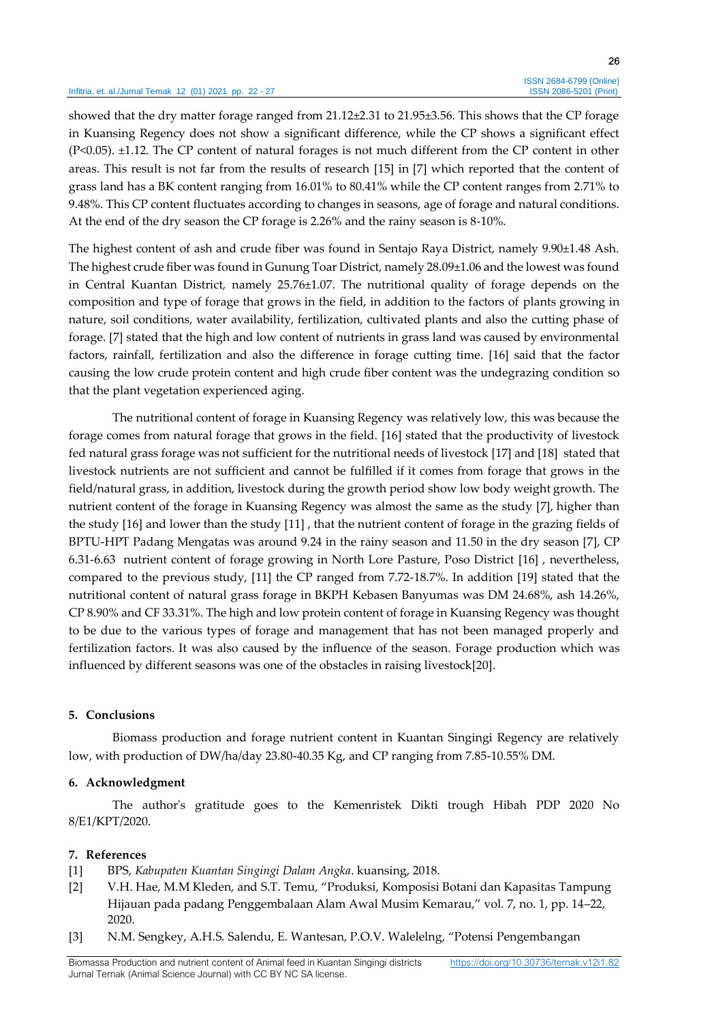#### Infitria, et. al./Jurnal Ternak 12 (01) 2021 pp. 22 - 27

26

showed that the dry matter forage ranged from 21.12±2.31 to 21.95±3.56. This shows that the CP forage in Kuansing Regency does not show a significant difference, while the CP shows a significant effect (P<0.05). ±1.12. The CP content of natural forages is not much different from the CP content in other areas. This result is not far from the results of research [15] in [7] which reported that the content of grass land has a BK content ranging from 16.01% to 80.41% while the CP content ranges from 2.71% to 9.48%. This CP content fluctuates according to changes in seasons, age of forage and natural conditions. At the end of the dry season the CP forage is 2.26% and the rainy season is 8-10%.

The highest content of ash and crude fiber was found in Sentajo Raya District, namely 9.90±1.48 Ash. The highest crude fiber was found in Gunung Toar District, namely 28.09±1.06 and the lowest was found in Central Kuantan District, namely 25.76±1.07. The nutritional quality of forage depends on the composition and type of forage that grows in the field, in addition to the factors of plants growing in nature, soil conditions, water availability, fertilization, cultivated plants and also the cutting phase of forage. [7] stated that the high and low content of nutrients in grass land was caused by environmental factors, rainfall, fertilization and also the difference in forage cutting time. [16] said that the factor causing the low crude protein content and high crude fiber content was the undegrazing condition so that the plant vegetation experienced aging.

The nutritional content of forage in Kuansing Regency was relatively low, this was because the forage comes from natural forage that grows in the field. [16] stated that the productivity of livestock fed natural grass forage was not sufficient for the nutritional needs of livestock [17] and [18] stated that livestock nutrients are not sufficient and cannot be fulfilled if it comes from forage that grows in the field/natural grass, in addition, livestock during the growth period show low body weight growth. The nutrient content of the forage in Kuansing Regency was almost the same as the study [7], higher than the study [16] and lower than the study [11] , that the nutrient content of forage in the grazing fields of BPTU-HPT Padang Mengatas was around 9.24 in the rainy season and 11.50 in the dry season [7], CP 6.31-6.63 nutrient content of forage growing in North Lore Pasture, Poso District [16] , nevertheless, compared to the previous study, [11] the CP ranged from 7.72-18.7%. In addition [19] stated that the nutritional content of natural grass forage in BKPH Kebasen Banyumas was DM 24.68%, ash 14.26%, CP 8.90% and CF 33.31%. The high and low protein content of forage in Kuansing Regency was thought to be due to the various types of forage and management that has not been managed properly and fertilization factors. It was also caused by the influence of the season. Forage production which was influenced by different seasons was one of the obstacles in raising livestock[20].

#### **5. Conclusions**

Biomass production and forage nutrient content in Kuantan Singingi Regency are relatively low, with production of DW/ha/day 23.80-40.35 Kg, and CP ranging from 7.85-10.55% DM.

#### **6. Acknowledgment**

The author's gratitude goes to the Kemenristek Dikti trough Hibah PDP 2020 No 8/E1/KPT/2020.

#### **7. References**

- [1] BPS, *Kabupaten Kuantan Singingi Dalam Angka*. kuansing, 2018.
- [2] V.H. Hae, M.M Kleden, and S.T. Temu, "Produksi, Komposisi Botani dan Kapasitas Tampung Hijauan pada padang Penggembalaan Alam Awal Musim Kemarau," vol. 7, no. 1, pp. 14–22, 2020.
- [3] N.M. Sengkey, A.H.S. Salendu, E. Wantesan, P.O.V. Walelelng, "Potensi Pengembangan